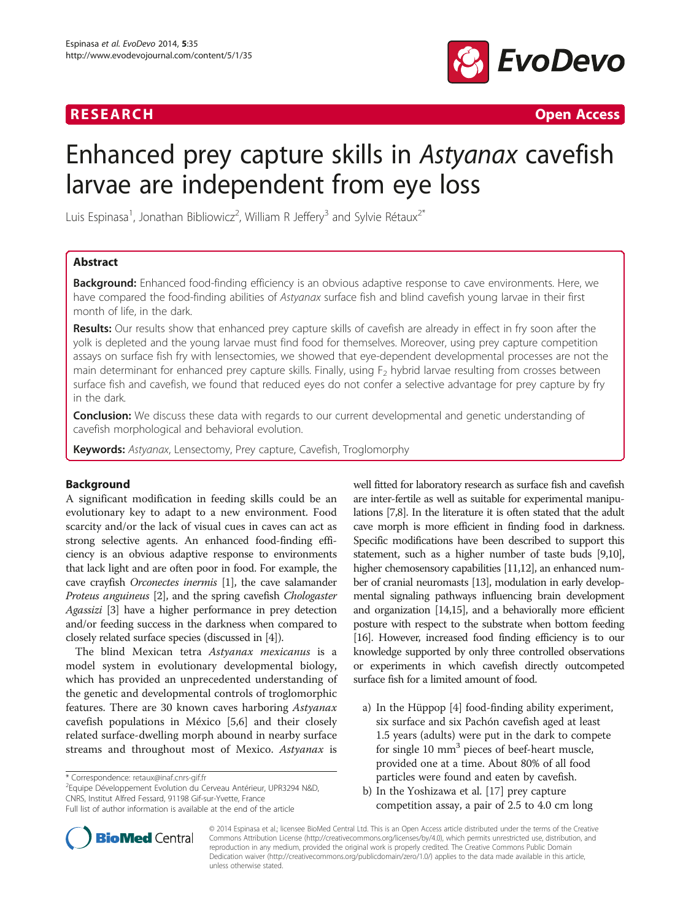## R E S EAR CH Open Access



# Enhanced prey capture skills in Astyanax cavefish larvae are independent from eye loss

Luis Espinasa<sup>1</sup>, Jonathan Bibliowicz<sup>2</sup>, William R Jeffery<sup>3</sup> and Sylvie Rétaux<sup>2\*</sup>

## Abstract

Background: Enhanced food-finding efficiency is an obvious adaptive response to cave environments. Here, we have compared the food-finding abilities of Astyanax surface fish and blind cavefish young larvae in their first month of life, in the dark.

Results: Our results show that enhanced prey capture skills of cavefish are already in effect in fry soon after the yolk is depleted and the young larvae must find food for themselves. Moreover, using prey capture competition assays on surface fish fry with lensectomies, we showed that eye-dependent developmental processes are not the main determinant for enhanced prey capture skills. Finally, using F<sub>2</sub> hybrid larvae resulting from crosses between surface fish and cavefish, we found that reduced eyes do not confer a selective advantage for prey capture by fry in the dark.

**Conclusion:** We discuss these data with regards to our current developmental and genetic understanding of cavefish morphological and behavioral evolution.

Keywords: Astyanax, Lensectomy, Prey capture, Cavefish, Troglomorphy

## Background

A significant modification in feeding skills could be an evolutionary key to adapt to a new environment. Food scarcity and/or the lack of visual cues in caves can act as strong selective agents. An enhanced food-finding efficiency is an obvious adaptive response to environments that lack light and are often poor in food. For example, the cave crayfish Orconectes inermis [\[1\]](#page-6-0), the cave salamander Proteus anguineus [\[2\]](#page-6-0), and the spring cavefish Chologaster Agassizi [\[3\]](#page-6-0) have a higher performance in prey detection and/or feeding success in the darkness when compared to closely related surface species (discussed in [[4](#page-6-0)]).

The blind Mexican tetra Astyanax mexicanus is a model system in evolutionary developmental biology, which has provided an unprecedented understanding of the genetic and developmental controls of troglomorphic features. There are 30 known caves harboring Astyanax cavefish populations in México [[5,6\]](#page-6-0) and their closely related surface-dwelling morph abound in nearby surface streams and throughout most of Mexico. Astyanax is

\* Correspondence: [retaux@inaf.cnrs-gif.fr](mailto:retaux@inaf.cnrs-gif.fr) <sup>2</sup>

<sup>2</sup>Equipe Développement Evolution du Cerveau Antérieur, UPR3294 N&D, CNRS, Institut Alfred Fessard, 91198 Gif-sur-Yvette, France

well fitted for laboratory research as surface fish and cavefish are inter-fertile as well as suitable for experimental manipulations [\[7,8](#page-6-0)]. In the literature it is often stated that the adult cave morph is more efficient in finding food in darkness. Specific modifications have been described to support this statement, such as a higher number of taste buds [[9,10](#page-6-0)], higher chemosensory capabilities [\[11,12\]](#page-6-0), an enhanced number of cranial neuromasts [[13\]](#page-6-0), modulation in early developmental signaling pathways influencing brain development and organization [\[14,15](#page-6-0)], and a behaviorally more efficient posture with respect to the substrate when bottom feeding [[16\]](#page-6-0). However, increased food finding efficiency is to our knowledge supported by only three controlled observations or experiments in which cavefish directly outcompeted surface fish for a limited amount of food.

- a) In the Hüppop [[4](#page-6-0)] food-finding ability experiment, six surface and six Pachón cavefish aged at least 1.5 years (adults) were put in the dark to compete for single 10 mm<sup>3</sup> pieces of beef-heart muscle, provided one at a time. About 80% of all food particles were found and eaten by cavefish.
- b) In the Yoshizawa et al. [[17](#page-6-0)] prey capture competition assay, a pair of 2.5 to 4.0 cm long



© 2014 Espinasa et al.; licensee BioMed Central Ltd. This is an Open Access article distributed under the terms of the Creative Commons Attribution License [\(http://creativecommons.org/licenses/by/4.0\)](http://creativecommons.org/licenses/by/4.0), which permits unrestricted use, distribution, and reproduction in any medium, provided the original work is properly credited. The Creative Commons Public Domain Dedication waiver [\(http://creativecommons.org/publicdomain/zero/1.0/](http://creativecommons.org/publicdomain/zero/1.0/)) applies to the data made available in this article, unless otherwise stated.

Full list of author information is available at the end of the article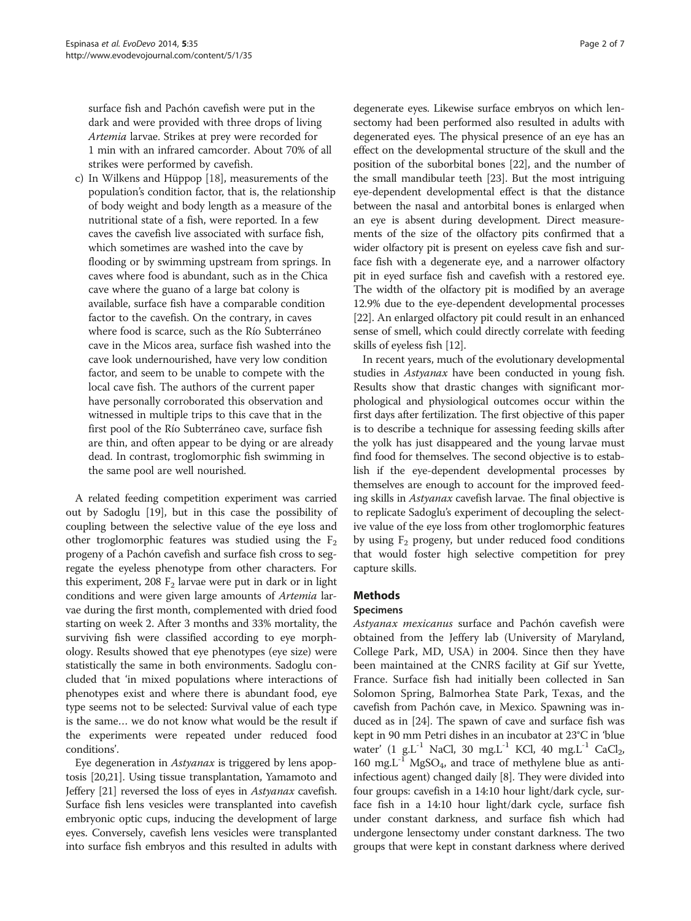surface fish and Pachón cavefish were put in the dark and were provided with three drops of living Artemia larvae. Strikes at prey were recorded for 1 min with an infrared camcorder. About 70% of all strikes were performed by cavefish.

c) In Wilkens and Hüppop [\[18\]](#page-6-0), measurements of the population's condition factor, that is, the relationship of body weight and body length as a measure of the nutritional state of a fish, were reported. In a few caves the cavefish live associated with surface fish, which sometimes are washed into the cave by flooding or by swimming upstream from springs. In caves where food is abundant, such as in the Chica cave where the guano of a large bat colony is available, surface fish have a comparable condition factor to the cavefish. On the contrary, in caves where food is scarce, such as the Río Subterráneo cave in the Micos area, surface fish washed into the cave look undernourished, have very low condition factor, and seem to be unable to compete with the local cave fish. The authors of the current paper have personally corroborated this observation and witnessed in multiple trips to this cave that in the first pool of the Río Subterráneo cave, surface fish are thin, and often appear to be dying or are already dead. In contrast, troglomorphic fish swimming in the same pool are well nourished.

A related feeding competition experiment was carried out by Sadoglu [[19](#page-6-0)], but in this case the possibility of coupling between the selective value of the eye loss and other troglomorphic features was studied using the  $F_2$ progeny of a Pachón cavefish and surface fish cross to segregate the eyeless phenotype from other characters. For this experiment, 208  $F_2$  larvae were put in dark or in light conditions and were given large amounts of Artemia larvae during the first month, complemented with dried food starting on week 2. After 3 months and 33% mortality, the surviving fish were classified according to eye morphology. Results showed that eye phenotypes (eye size) were statistically the same in both environments. Sadoglu concluded that 'in mixed populations where interactions of phenotypes exist and where there is abundant food, eye type seems not to be selected: Survival value of each type is the same… we do not know what would be the result if the experiments were repeated under reduced food conditions'.

Eye degeneration in *Astyanax* is triggered by lens apoptosis [\[20,21](#page-6-0)]. Using tissue transplantation, Yamamoto and Jeffery [\[21\]](#page-6-0) reversed the loss of eyes in Astyanax cavefish. Surface fish lens vesicles were transplanted into cavefish embryonic optic cups, inducing the development of large eyes. Conversely, cavefish lens vesicles were transplanted into surface fish embryos and this resulted in adults with degenerate eyes. Likewise surface embryos on which lensectomy had been performed also resulted in adults with degenerated eyes. The physical presence of an eye has an effect on the developmental structure of the skull and the position of the suborbital bones [\[22\]](#page-6-0), and the number of the small mandibular teeth [[23](#page-6-0)]. But the most intriguing eye-dependent developmental effect is that the distance between the nasal and antorbital bones is enlarged when an eye is absent during development. Direct measurements of the size of the olfactory pits confirmed that a wider olfactory pit is present on eyeless cave fish and surface fish with a degenerate eye, and a narrower olfactory pit in eyed surface fish and cavefish with a restored eye. The width of the olfactory pit is modified by an average 12.9% due to the eye-dependent developmental processes [[22](#page-6-0)]. An enlarged olfactory pit could result in an enhanced sense of smell, which could directly correlate with feeding skills of eyeless fish [\[12\]](#page-6-0).

In recent years, much of the evolutionary developmental studies in *Astyanax* have been conducted in young fish. Results show that drastic changes with significant morphological and physiological outcomes occur within the first days after fertilization. The first objective of this paper is to describe a technique for assessing feeding skills after the yolk has just disappeared and the young larvae must find food for themselves. The second objective is to establish if the eye-dependent developmental processes by themselves are enough to account for the improved feeding skills in Astyanax cavefish larvae. The final objective is to replicate Sadoglu's experiment of decoupling the selective value of the eye loss from other troglomorphic features by using  $F_2$  progeny, but under reduced food conditions that would foster high selective competition for prey capture skills.

## Methods

## Specimens

Astyanax mexicanus surface and Pachón cavefish were obtained from the Jeffery lab (University of Maryland, College Park, MD, USA) in 2004. Since then they have been maintained at the CNRS facility at Gif sur Yvette, France. Surface fish had initially been collected in San Solomon Spring, Balmorhea State Park, Texas, and the cavefish from Pachón cave, in Mexico. Spawning was induced as in [\[24\]](#page-6-0). The spawn of cave and surface fish was kept in 90 mm Petri dishes in an incubator at 23°C in 'blue water' (1 g.L<sup>-1</sup> NaCl, 30 mg.L<sup>-1</sup> KCl, 40 mg.L<sup>-1</sup> CaCl<sub>2</sub>, 160 mg.L<sup>-1</sup> MgSO<sub>4</sub>, and trace of methylene blue as antiinfectious agent) changed daily [[8\]](#page-6-0). They were divided into four groups: cavefish in a 14:10 hour light/dark cycle, surface fish in a 14:10 hour light/dark cycle, surface fish under constant darkness, and surface fish which had undergone lensectomy under constant darkness. The two groups that were kept in constant darkness where derived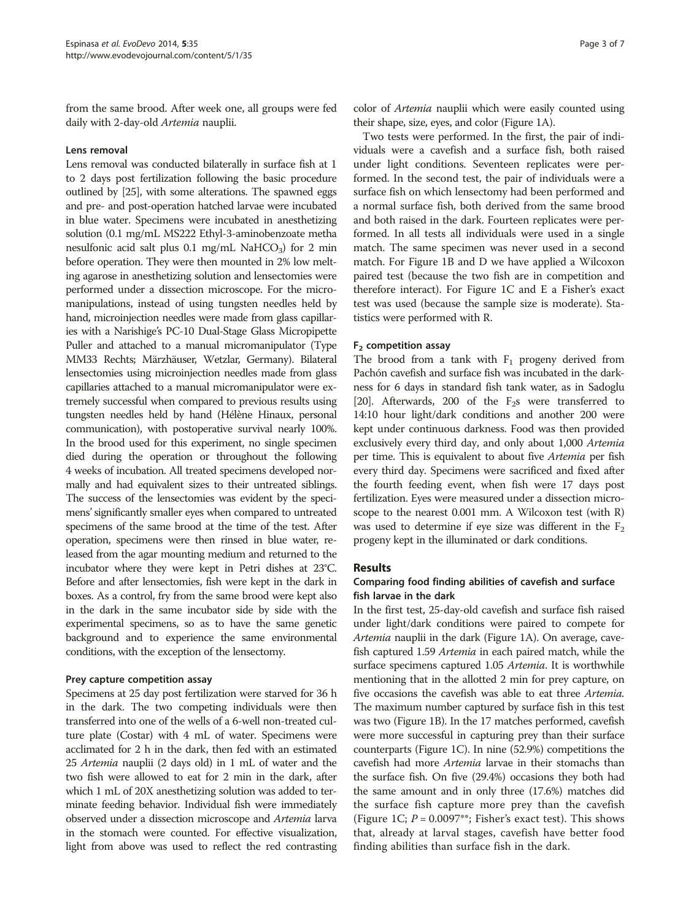from the same brood. After week one, all groups were fed daily with 2-day-old Artemia nauplii.

#### Lens removal

Lens removal was conducted bilaterally in surface fish at 1 to 2 days post fertilization following the basic procedure outlined by [\[25\]](#page-6-0), with some alterations. The spawned eggs and pre- and post-operation hatched larvae were incubated in blue water. Specimens were incubated in anesthetizing solution (0.1 mg/mL MS222 Ethyl-3-aminobenzoate metha nesulfonic acid salt plus  $0.1 \text{ mg/mL}$  NaHCO<sub>3</sub>) for 2 min before operation. They were then mounted in 2% low melting agarose in anesthetizing solution and lensectomies were performed under a dissection microscope. For the micromanipulations, instead of using tungsten needles held by hand, microinjection needles were made from glass capillaries with a Narishige's PC-10 Dual-Stage Glass Micropipette Puller and attached to a manual micromanipulator (Type MM33 Rechts; Märzhäuser, Wetzlar, Germany). Bilateral lensectomies using microinjection needles made from glass capillaries attached to a manual micromanipulator were extremely successful when compared to previous results using tungsten needles held by hand (Hélène Hinaux, personal communication), with postoperative survival nearly 100%. In the brood used for this experiment, no single specimen died during the operation or throughout the following 4 weeks of incubation. All treated specimens developed normally and had equivalent sizes to their untreated siblings. The success of the lensectomies was evident by the specimens'significantly smaller eyes when compared to untreated specimens of the same brood at the time of the test. After operation, specimens were then rinsed in blue water, released from the agar mounting medium and returned to the incubator where they were kept in Petri dishes at 23°C. Before and after lensectomies, fish were kept in the dark in boxes. As a control, fry from the same brood were kept also in the dark in the same incubator side by side with the experimental specimens, so as to have the same genetic background and to experience the same environmental conditions, with the exception of the lensectomy.

#### Prey capture competition assay

Specimens at 25 day post fertilization were starved for 36 h in the dark. The two competing individuals were then transferred into one of the wells of a 6-well non-treated culture plate (Costar) with 4 mL of water. Specimens were acclimated for 2 h in the dark, then fed with an estimated <sup>25</sup> Artemia nauplii (2 days old) in 1 mL of water and the two fish were allowed to eat for 2 min in the dark, after which 1 mL of 20X anesthetizing solution was added to terminate feeding behavior. Individual fish were immediately observed under a dissection microscope and Artemia larva in the stomach were counted. For effective visualization, light from above was used to reflect the red contrasting color of *Artemia* nauplii which were easily counted using their shape, size, eyes, and color (Figure [1A](#page-3-0)).

Two tests were performed. In the first, the pair of individuals were a cavefish and a surface fish, both raised under light conditions. Seventeen replicates were performed. In the second test, the pair of individuals were a surface fish on which lensectomy had been performed and a normal surface fish, both derived from the same brood and both raised in the dark. Fourteen replicates were performed. In all tests all individuals were used in a single match. The same specimen was never used in a second match. For Figure [1B](#page-3-0) and D we have applied a Wilcoxon paired test (because the two fish are in competition and therefore interact). For Figure [1C](#page-3-0) and E a Fisher's exact test was used (because the sample size is moderate). Statistics were performed with R.

#### $F<sub>2</sub>$  competition assay

The brood from a tank with  $F_1$  progeny derived from Pachón cavefish and surface fish was incubated in the darkness for 6 days in standard fish tank water, as in Sadoglu [[20](#page-6-0)]. Afterwards, 200 of the  $F_2$ s were transferred to 14:10 hour light/dark conditions and another 200 were kept under continuous darkness. Food was then provided exclusively every third day, and only about 1,000 Artemia per time. This is equivalent to about five Artemia per fish every third day. Specimens were sacrificed and fixed after the fourth feeding event, when fish were 17 days post fertilization. Eyes were measured under a dissection microscope to the nearest 0.001 mm. A Wilcoxon test (with R) was used to determine if eye size was different in the  $F_2$ progeny kept in the illuminated or dark conditions.

#### Results

## Comparing food finding abilities of cavefish and surface fish larvae in the dark

In the first test, 25-day-old cavefish and surface fish raised under light/dark conditions were paired to compete for Artemia nauplii in the dark (Figure [1A](#page-3-0)). On average, cavefish captured 1.59 Artemia in each paired match, while the surface specimens captured 1.05 Artemia. It is worthwhile mentioning that in the allotted 2 min for prey capture, on five occasions the cavefish was able to eat three Artemia. The maximum number captured by surface fish in this test was two (Figure [1B](#page-3-0)). In the 17 matches performed, cavefish were more successful in capturing prey than their surface counterparts (Figure [1](#page-3-0)C). In nine (52.9%) competitions the cavefish had more Artemia larvae in their stomachs than the surface fish. On five (29.4%) occasions they both had the same amount and in only three (17.6%) matches did the surface fish capture more prey than the cavefish (Figure [1](#page-3-0)C;  $P = 0.0097**$ ; Fisher's exact test). This shows that, already at larval stages, cavefish have better food finding abilities than surface fish in the dark.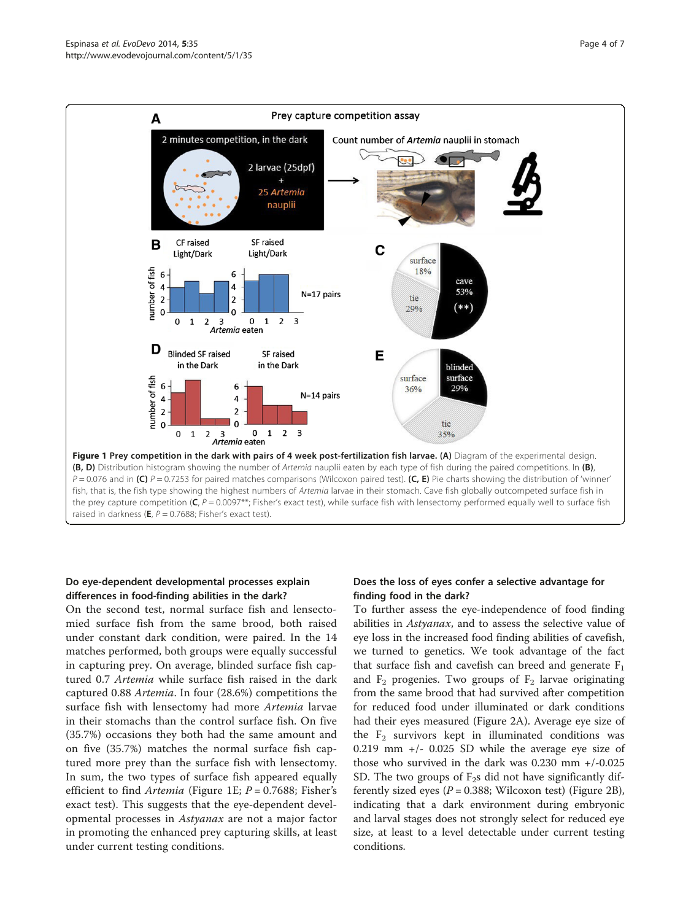<span id="page-3-0"></span>

fish, that is, the fish type showing the highest numbers of Artemia larvae in their stomach. Cave fish globally outcompeted surface fish in the prey capture competition  $(C, P = 0.0097**$ ; Fisher's exact test), while surface fish with lensectomy performed equally well to surface fish raised in darkness ( $E$ ,  $P = 0.7688$ ; Fisher's exact test).

## Do eye-dependent developmental processes explain differences in food-finding abilities in the dark?

On the second test, normal surface fish and lensectomied surface fish from the same brood, both raised under constant dark condition, were paired. In the 14 matches performed, both groups were equally successful in capturing prey. On average, blinded surface fish captured 0.7 Artemia while surface fish raised in the dark captured 0.88 Artemia. In four (28.6%) competitions the surface fish with lensectomy had more Artemia larvae in their stomachs than the control surface fish. On five (35.7%) occasions they both had the same amount and on five (35.7%) matches the normal surface fish captured more prey than the surface fish with lensectomy. In sum, the two types of surface fish appeared equally efficient to find Artemia (Figure 1E;  $P = 0.7688$ ; Fisher's exact test). This suggests that the eye-dependent developmental processes in Astyanax are not a major factor in promoting the enhanced prey capturing skills, at least under current testing conditions.

## Does the loss of eyes confer a selective advantage for finding food in the dark?

To further assess the eye-independence of food finding abilities in Astyanax, and to assess the selective value of eye loss in the increased food finding abilities of cavefish, we turned to genetics. We took advantage of the fact that surface fish and cavefish can breed and generate  $F_1$ and  $F_2$  progenies. Two groups of  $F_2$  larvae originating from the same brood that had survived after competition for reduced food under illuminated or dark conditions had their eyes measured (Figure [2A](#page-4-0)). Average eye size of the  $F_2$  survivors kept in illuminated conditions was 0.219 mm  $+/$ - 0.025 SD while the average eye size of those who survived in the dark was 0.230 mm +/-0.025 SD. The two groups of  $F_2s$  did not have significantly differently sized eyes ( $P = 0.388$ ; Wilcoxon test) (Figure [2](#page-4-0)B), indicating that a dark environment during embryonic and larval stages does not strongly select for reduced eye size, at least to a level detectable under current testing conditions.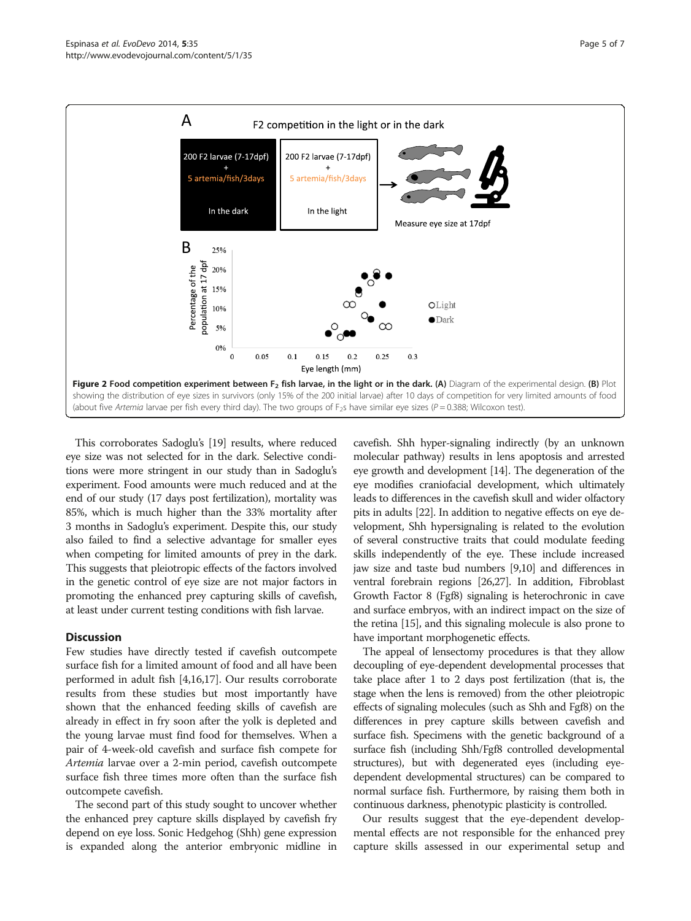<span id="page-4-0"></span>

This corroborates Sadoglu's [[19](#page-6-0)] results, where reduced eye size was not selected for in the dark. Selective conditions were more stringent in our study than in Sadoglu's experiment. Food amounts were much reduced and at the end of our study (17 days post fertilization), mortality was 85%, which is much higher than the 33% mortality after 3 months in Sadoglu's experiment. Despite this, our study also failed to find a selective advantage for smaller eyes when competing for limited amounts of prey in the dark. This suggests that pleiotropic effects of the factors involved in the genetic control of eye size are not major factors in promoting the enhanced prey capturing skills of cavefish, at least under current testing conditions with fish larvae.

## **Discussion**

Few studies have directly tested if cavefish outcompete surface fish for a limited amount of food and all have been performed in adult fish [\[4,16,17\]](#page-6-0). Our results corroborate results from these studies but most importantly have shown that the enhanced feeding skills of cavefish are already in effect in fry soon after the yolk is depleted and the young larvae must find food for themselves. When a pair of 4-week-old cavefish and surface fish compete for Artemia larvae over a 2-min period, cavefish outcompete surface fish three times more often than the surface fish outcompete cavefish.

The second part of this study sought to uncover whether the enhanced prey capture skills displayed by cavefish fry depend on eye loss. Sonic Hedgehog (Shh) gene expression is expanded along the anterior embryonic midline in cavefish. Shh hyper-signaling indirectly (by an unknown molecular pathway) results in lens apoptosis and arrested eye growth and development [\[14](#page-6-0)]. The degeneration of the eye modifies craniofacial development, which ultimately leads to differences in the cavefish skull and wider olfactory pits in adults [\[22\]](#page-6-0). In addition to negative effects on eye development, Shh hypersignaling is related to the evolution of several constructive traits that could modulate feeding skills independently of the eye. These include increased jaw size and taste bud numbers [\[9,10\]](#page-6-0) and differences in ventral forebrain regions [[26,27\]](#page-6-0). In addition, Fibroblast Growth Factor 8 (Fgf8) signaling is heterochronic in cave and surface embryos, with an indirect impact on the size of the retina [[15](#page-6-0)], and this signaling molecule is also prone to have important morphogenetic effects.

The appeal of lensectomy procedures is that they allow decoupling of eye-dependent developmental processes that take place after 1 to 2 days post fertilization (that is, the stage when the lens is removed) from the other pleiotropic effects of signaling molecules (such as Shh and Fgf8) on the differences in prey capture skills between cavefish and surface fish. Specimens with the genetic background of a surface fish (including Shh/Fgf8 controlled developmental structures), but with degenerated eyes (including eyedependent developmental structures) can be compared to normal surface fish. Furthermore, by raising them both in continuous darkness, phenotypic plasticity is controlled.

Our results suggest that the eye-dependent developmental effects are not responsible for the enhanced prey capture skills assessed in our experimental setup and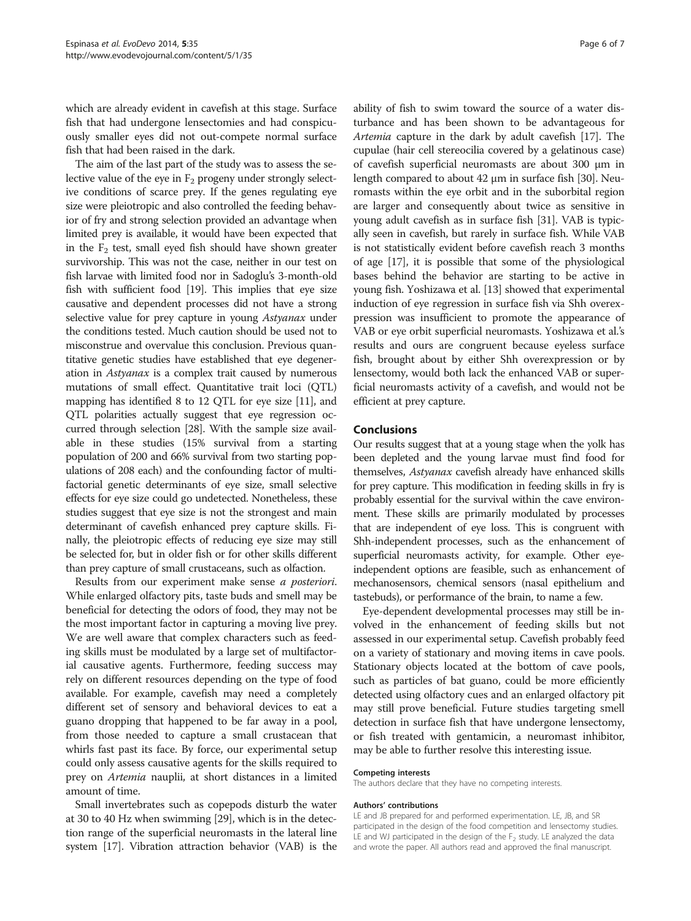which are already evident in cavefish at this stage. Surface fish that had undergone lensectomies and had conspicuously smaller eyes did not out-compete normal surface fish that had been raised in the dark.

The aim of the last part of the study was to assess the selective value of the eye in  $F_2$  progeny under strongly selective conditions of scarce prey. If the genes regulating eye size were pleiotropic and also controlled the feeding behavior of fry and strong selection provided an advantage when limited prey is available, it would have been expected that in the  $F_2$  test, small eyed fish should have shown greater survivorship. This was not the case, neither in our test on fish larvae with limited food nor in Sadoglu's 3-month-old fish with sufficient food [[19](#page-6-0)]. This implies that eye size causative and dependent processes did not have a strong selective value for prey capture in young Astyanax under the conditions tested. Much caution should be used not to misconstrue and overvalue this conclusion. Previous quantitative genetic studies have established that eye degeneration in Astyanax is a complex trait caused by numerous mutations of small effect. Quantitative trait loci (QTL) mapping has identified 8 to 12 QTL for eye size [[11](#page-6-0)], and QTL polarities actually suggest that eye regression occurred through selection [\[28\]](#page-6-0). With the sample size available in these studies (15% survival from a starting population of 200 and 66% survival from two starting populations of 208 each) and the confounding factor of multifactorial genetic determinants of eye size, small selective effects for eye size could go undetected. Nonetheless, these studies suggest that eye size is not the strongest and main determinant of cavefish enhanced prey capture skills. Finally, the pleiotropic effects of reducing eye size may still be selected for, but in older fish or for other skills different than prey capture of small crustaceans, such as olfaction.

Results from our experiment make sense a posteriori. While enlarged olfactory pits, taste buds and smell may be beneficial for detecting the odors of food, they may not be the most important factor in capturing a moving live prey. We are well aware that complex characters such as feeding skills must be modulated by a large set of multifactorial causative agents. Furthermore, feeding success may rely on different resources depending on the type of food available. For example, cavefish may need a completely different set of sensory and behavioral devices to eat a guano dropping that happened to be far away in a pool, from those needed to capture a small crustacean that whirls fast past its face. By force, our experimental setup could only assess causative agents for the skills required to prey on Artemia nauplii, at short distances in a limited amount of time.

Small invertebrates such as copepods disturb the water at 30 to 40 Hz when swimming [[29](#page-6-0)], which is in the detection range of the superficial neuromasts in the lateral line system [[17](#page-6-0)]. Vibration attraction behavior (VAB) is the

ability of fish to swim toward the source of a water disturbance and has been shown to be advantageous for Artemia capture in the dark by adult cavefish [[17](#page-6-0)]. The cupulae (hair cell stereocilia covered by a gelatinous case) of cavefish superficial neuromasts are about 300 μm in length compared to about 42 μm in surface fish [[30](#page-6-0)]. Neuromasts within the eye orbit and in the suborbital region are larger and consequently about twice as sensitive in young adult cavefish as in surface fish [\[31\]](#page-6-0). VAB is typically seen in cavefish, but rarely in surface fish. While VAB is not statistically evident before cavefish reach 3 months of age [\[17\]](#page-6-0), it is possible that some of the physiological bases behind the behavior are starting to be active in young fish. Yoshizawa et al. [\[13\]](#page-6-0) showed that experimental induction of eye regression in surface fish via Shh overexpression was insufficient to promote the appearance of VAB or eye orbit superficial neuromasts. Yoshizawa et al.'s results and ours are congruent because eyeless surface fish, brought about by either Shh overexpression or by lensectomy, would both lack the enhanced VAB or superficial neuromasts activity of a cavefish, and would not be efficient at prey capture.

## Conclusions

Our results suggest that at a young stage when the yolk has been depleted and the young larvae must find food for themselves, Astyanax cavefish already have enhanced skills for prey capture. This modification in feeding skills in fry is probably essential for the survival within the cave environment. These skills are primarily modulated by processes that are independent of eye loss. This is congruent with Shh-independent processes, such as the enhancement of superficial neuromasts activity, for example. Other eyeindependent options are feasible, such as enhancement of mechanosensors, chemical sensors (nasal epithelium and tastebuds), or performance of the brain, to name a few.

Eye-dependent developmental processes may still be involved in the enhancement of feeding skills but not assessed in our experimental setup. Cavefish probably feed on a variety of stationary and moving items in cave pools. Stationary objects located at the bottom of cave pools, such as particles of bat guano, could be more efficiently detected using olfactory cues and an enlarged olfactory pit may still prove beneficial. Future studies targeting smell detection in surface fish that have undergone lensectomy, or fish treated with gentamicin, a neuromast inhibitor, may be able to further resolve this interesting issue.

#### Competing interests

The authors declare that they have no competing interests.

#### Authors' contributions

LE and JB prepared for and performed experimentation. LE, JB, and SR participated in the design of the food competition and lensectomy studies. LE and WJ participated in the design of the  $F_2$  study. LE analyzed the data and wrote the paper. All authors read and approved the final manuscript.